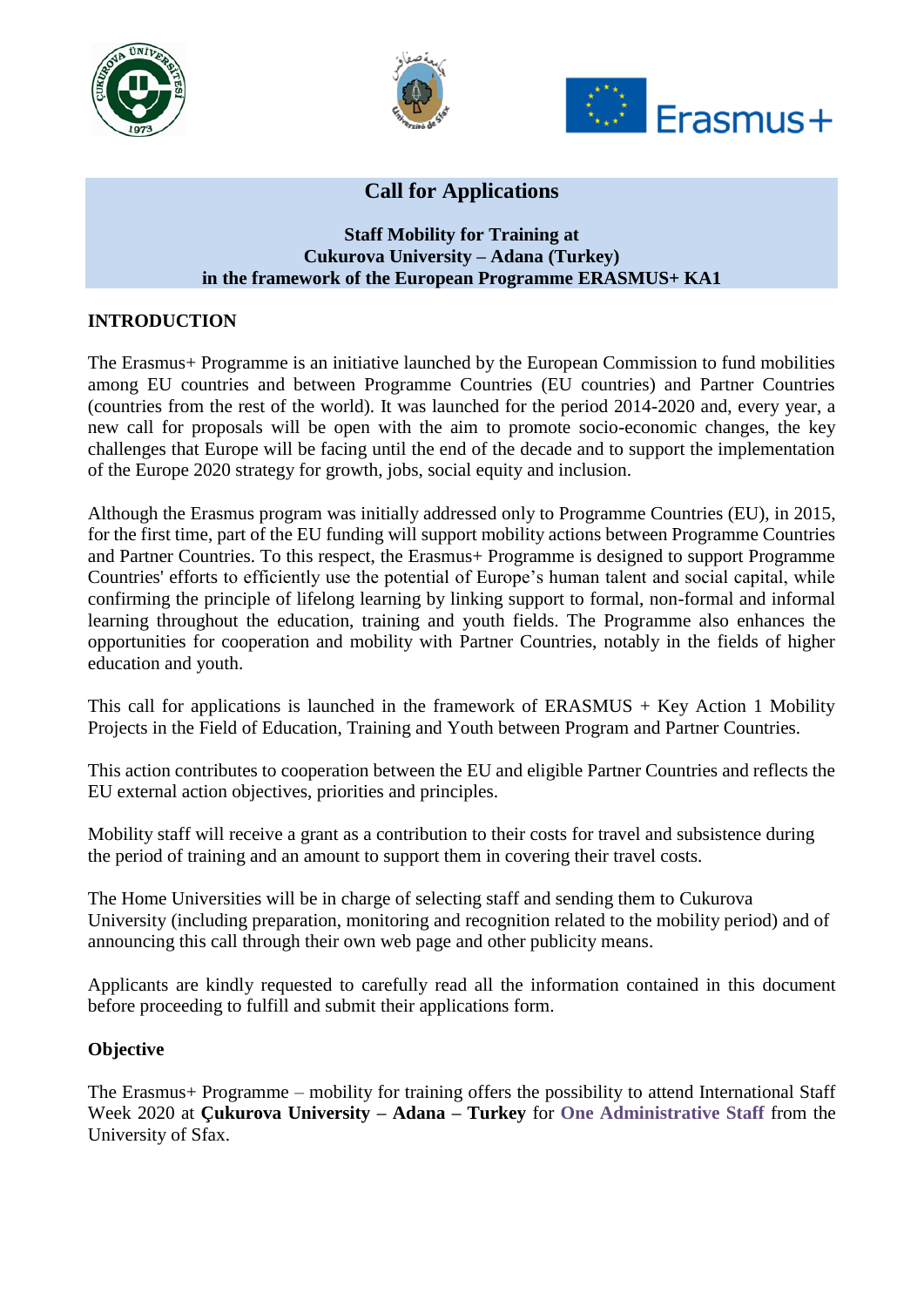





# **Call for Applications**

#### **Staff Mobility for Training at [Cukurova University](http://www.tuiasi.ro/en/) – Adana (Turkey) in the framework of the European Programme ERASMUS+ KA1**

#### **INTRODUCTION**

The Erasmus+ Programme is an initiative launched by the European Commission to fund mobilities among EU countries and between Programme Countries (EU countries) and Partner Countries (countries from the rest of the world). It was launched for the period 2014-2020 and, every year, a new call for proposals will be open with the aim to promote socio-economic changes, the key challenges that Europe will be facing until the end of the decade and to support the implementation of the Europe 2020 strategy for growth, jobs, social equity and inclusion.

Although the Erasmus program was initially addressed only to Programme Countries (EU), in 2015, for the first time, part of the EU funding will support mobility actions between Programme Countries and Partner Countries. To this respect, the Erasmus+ Programme is designed to support Programme Countries' efforts to efficiently use the potential of Europe's human talent and social capital, while confirming the principle of lifelong learning by linking support to formal, non-formal and informal learning throughout the education, training and youth fields. The Programme also enhances the opportunities for cooperation and mobility with Partner Countries, notably in the fields of higher education and youth.

This call for applications is launched in the framework of  $ERASMUS + Key$  Action 1 Mobility Projects in the Field of Education, Training and Youth between Program and Partner Countries.

This action contributes to cooperation between the EU and eligible Partner Countries and reflects the EU external action objectives, priorities and principles.

Mobility staff will receive a grant as a contribution to their costs for travel and subsistence during the period of training and an amount to support them in covering their travel costs.

The Home Universities will be in charge of selecting staff and sending them to Cukurova University (including preparation, monitoring and recognition related to the mobility period) and of announcing this call through their own web page and other publicity means.

Applicants are kindly requested to carefully read all the information contained in this document before proceeding to fulfill and submit their applications form.

#### **Objective**

The Erasmus+ Programme – mobility for training offers the possibility to attend International Staff Week 2020 at **Çukurova University – Adana – Turkey** for **One Administrative Staff** from the University of Sfax.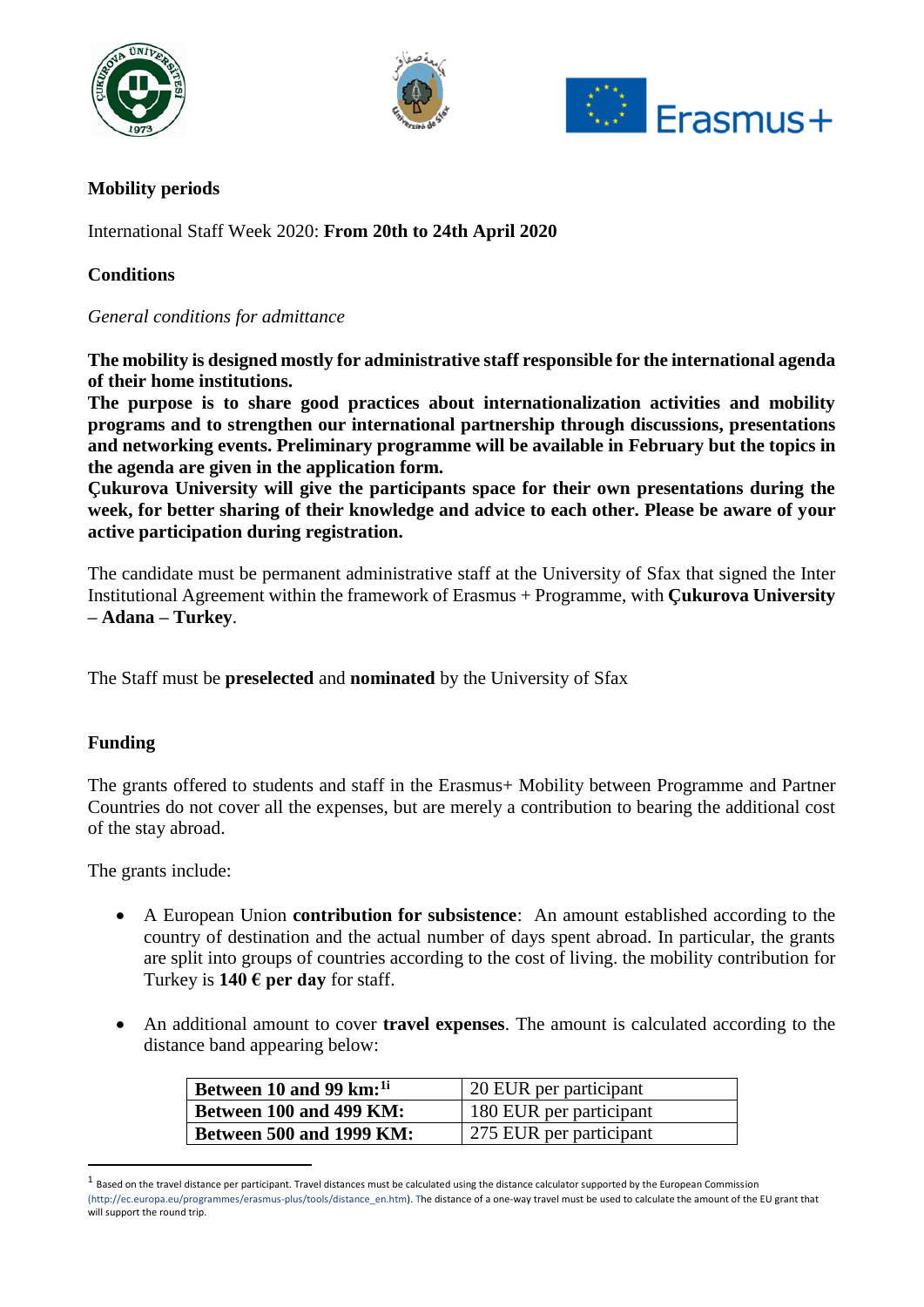





# **Mobility periods**

International Staff Week 2020: **From 20th to 24th April 2020**

# **Conditions**

## *General conditions for admittance*

**The mobility is designed mostly for administrative staff responsible for the international agenda of their home institutions.**

**The purpose is to share good practices about internationalization activities and mobility programs and to strengthen our international partnership through discussions, presentations and networking events. Preliminary programme will be available in February but the topics in the agenda are given in the application form.**

**Çukurova University will give the participants space for their own presentations during the week, for better sharing of their knowledge and advice to each other. Please be aware of your active participation during registration.**

The candidate must be permanent administrative staff at the University of Sfax that signed the Inter Institutional Agreement within the framework of Erasmus + Programme, with **Çukurova University – Adana – Turkey**.

The Staff must be **preselected** and **nominated** by the University of Sfax

## **Funding**

**.** 

The grants offered to students and staff in the Erasmus+ Mobility between Programme and Partner Countries do not cover all the expenses, but are merely a contribution to bearing the additional cost of the stay abroad.

The grants include:

- A European Union **contribution for subsistence**: An amount established according to the country of destination and the actual number of days spent abroad. In particular, the grants are split into groups of countries according to the cost of living. the mobility contribution for Turkey is  $140 \text{ }\epsilon$  per day for staff.
- An additional amount to cover **travel expenses**. The amount is calculated according to the distance band appearing below:

| Between 10 and 99 km: <sup>1i</sup> | 20 EUR per participant  |
|-------------------------------------|-------------------------|
| Between 100 and 499 KM:             | 180 EUR per participant |
| <b>Between 500 and 1999 KM:</b>     | 275 EUR per participant |

 $^1$  Based on the travel distance per participant. Travel distances must be calculated using the distance calculator supported by the European Commission (http://ec.europa.eu/programmes/erasmus-plus/tools/distance\_en.htm). The distance of a one-way travel must be used to calculate the amount of the EU grant that will support the round trip.